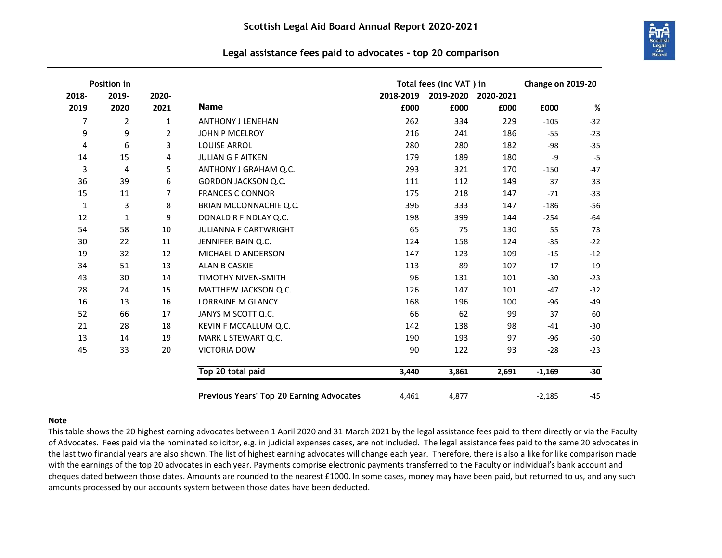

## **Legal assistance fees paid to advocates - top 20 comparison**

| Position in |                |                |                                          | Total fees (inc VAT) in |           |           | <b>Change on 2019-20</b> |       |
|-------------|----------------|----------------|------------------------------------------|-------------------------|-----------|-----------|--------------------------|-------|
| 2018-       | 2019-          | 2020-          |                                          | 2018-2019               | 2019-2020 | 2020-2021 |                          |       |
| 2019        | 2020           | 2021           | <b>Name</b>                              | £000                    | £000      | £000      | £000                     | %     |
| 7           | $\overline{2}$ | 1              | <b>ANTHONY J LENEHAN</b>                 | 262                     | 334       | 229       | $-105$                   | $-32$ |
| 9           | 9              | $\overline{2}$ | <b>JOHN P MCELROY</b>                    | 216                     | 241       | 186       | $-55$                    | $-23$ |
| 4           | 6              | 3              | <b>LOUISE ARROL</b>                      | 280                     | 280       | 182       | -98                      | $-35$ |
| 14          | 15             | 4              | <b>JULIAN G F AITKEN</b>                 | 179                     | 189       | 180       | -9                       | $-5$  |
| 3           | 4              | 5              | ANTHONY J GRAHAM Q.C.                    | 293                     | 321       | 170       | $-150$                   | $-47$ |
| 36          | 39             | 6              | GORDON JACKSON Q.C.                      | 111                     | 112       | 149       | 37                       | 33    |
| 15          | 11             | $\overline{7}$ | <b>FRANCES C CONNOR</b>                  | 175                     | 218       | 147       | $-71$                    | $-33$ |
| $\mathbf 1$ | 3              | 8              | BRIAN MCCONNACHIE Q.C.                   | 396                     | 333       | 147       | $-186$                   | $-56$ |
| 12          | $\mathbf{1}$   | 9              | DONALD R FINDLAY Q.C.                    | 198                     | 399       | 144       | $-254$                   | $-64$ |
| 54          | 58             | 10             | <b>JULIANNA F CARTWRIGHT</b>             | 65                      | 75        | 130       | 55                       | 73    |
| 30          | 22             | 11             | JENNIFER BAIN Q.C.                       | 124                     | 158       | 124       | $-35$                    | $-22$ |
| 19          | 32             | 12             | MICHAEL D ANDERSON                       | 147                     | 123       | 109       | $-15$                    | $-12$ |
| 34          | 51             | 13             | ALAN B CASKIE                            | 113                     | 89        | 107       | 17                       | 19    |
| 43          | 30             | 14             | <b>TIMOTHY NIVEN-SMITH</b>               | 96                      | 131       | 101       | $-30$                    | $-23$ |
| 28          | 24             | 15             | MATTHEW JACKSON Q.C.                     | 126                     | 147       | 101       | $-47$                    | $-32$ |
| 16          | 13             | 16             | <b>LORRAINE M GLANCY</b>                 | 168                     | 196       | 100       | $-96$                    | $-49$ |
| 52          | 66             | 17             | JANYS M SCOTT Q.C.                       | 66                      | 62        | 99        | 37                       | 60    |
| 21          | 28             | 18             | KEVIN F MCCALLUM Q.C.                    | 142                     | 138       | 98        | $-41$                    | $-30$ |
| 13          | 14             | 19             | MARK L STEWART Q.C.                      | 190                     | 193       | 97        | $-96$                    | $-50$ |
| 45          | 33             | 20             | <b>VICTORIA DOW</b>                      | 90                      | 122       | 93        | $-28$                    | $-23$ |
|             |                |                | Top 20 total paid                        | 3,440                   | 3,861     | 2,691     | $-1,169$                 | $-30$ |
|             |                |                | Previous Years' Top 20 Earning Advocates | 4,461                   | 4,877     |           | $-2,185$                 | $-45$ |

## **Note**

This table shows the 20 highest earning advocates between 1 April 2020 and 31 March 2021 by the legal assistance fees paid to them directly or via the Faculty of Advocates. Fees paid via the nominated solicitor, e.g. in judicial expenses cases, are not included. The legal assistance fees paid to the same 20 advocates in the last two financial years are also shown. The list of highest earning advocates will change each year. Therefore, there is also a like for like comparison made with the earnings of the top 20 advocates in each year. Payments comprise electronic payments transferred to the Faculty or individual's bank account and cheques dated between those dates. Amounts are rounded to the nearest £1000. In some cases, money may have been paid, but returned to us, and any such amounts processed by our accounts system between those dates have been deducted.